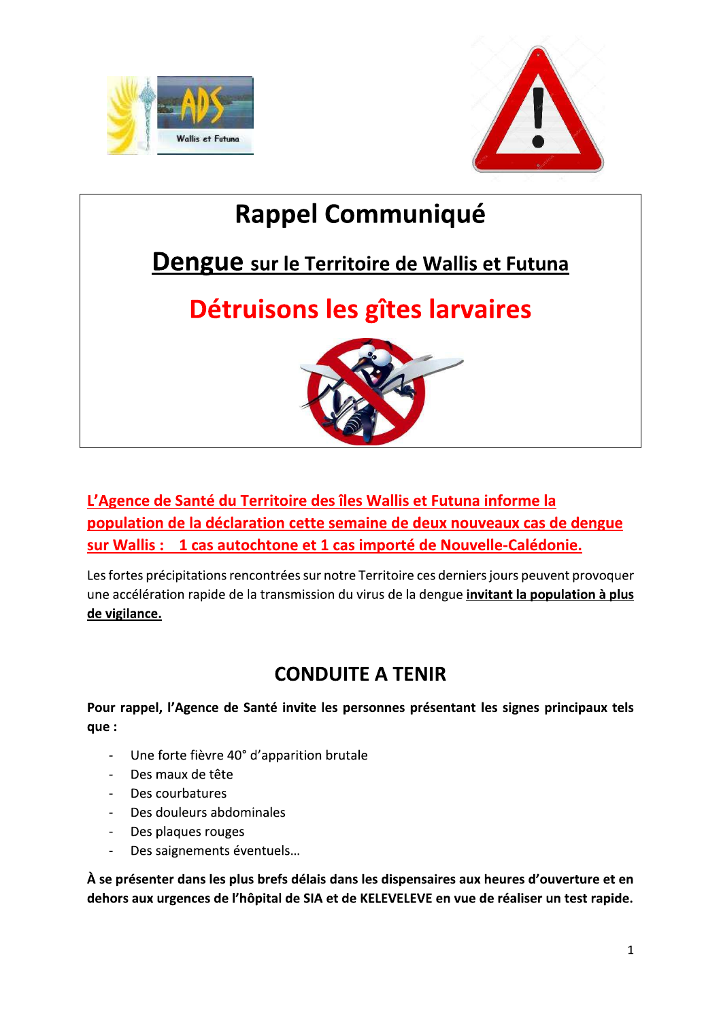



# **Rappel Communiqué**

# Dengue sur le Territoire de Wallis et Futuna

# Détruisons les gîtes larvaires



L'Agence de Santé du Territoire des îles Wallis et Futuna informe la population de la déclaration cette semaine de deux nouveaux cas de dengue sur Wallis : 1 cas autochtone et 1 cas importé de Nouvelle-Calédonie.

Les fortes précipitations rencontrées sur notre Territoire ces derniers jours peuvent provoquer une accélération rapide de la transmission du virus de la dengue *invitant la population à plus* de vigilance.

### **CONDUITE A TENIR**

Pour rappel, l'Agence de Santé invite les personnes présentant les signes principaux tels que :

- Une forte fièvre 40° d'apparition brutale
- Des maux de tête
- Des courbatures
- $\omega$  . Des douleurs abdominales
- Des plaques rouges  $\Delta \sim 10^4$
- Des saignements éventuels...  $\frac{1}{2}$

À se présenter dans les plus brefs délais dans les dispensaires aux heures d'ouverture et en dehors aux urgences de l'hôpital de SIA et de KELEVELEVE en vue de réaliser un test rapide.